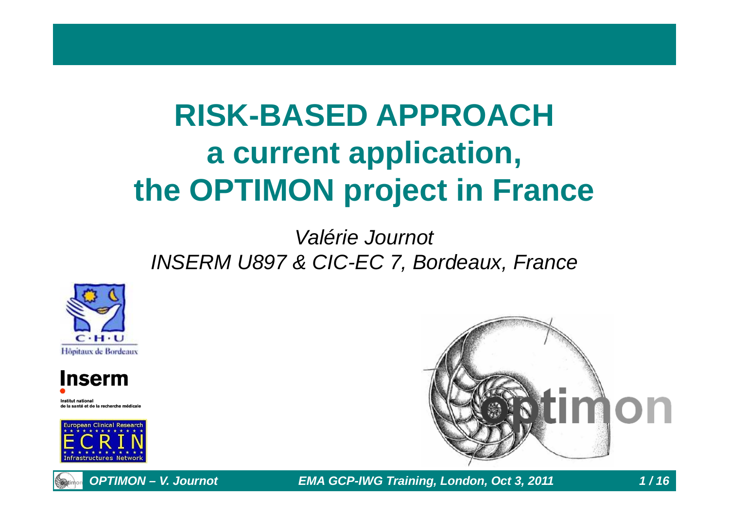# **RISK-BASED APPROACHa current application,the OPTIMON project in France**

#### Valérie JournotINSERM U897 & CIC-EC 7, Bordeaux, France





ıstitut nationa de la santé et de la recherche médicale



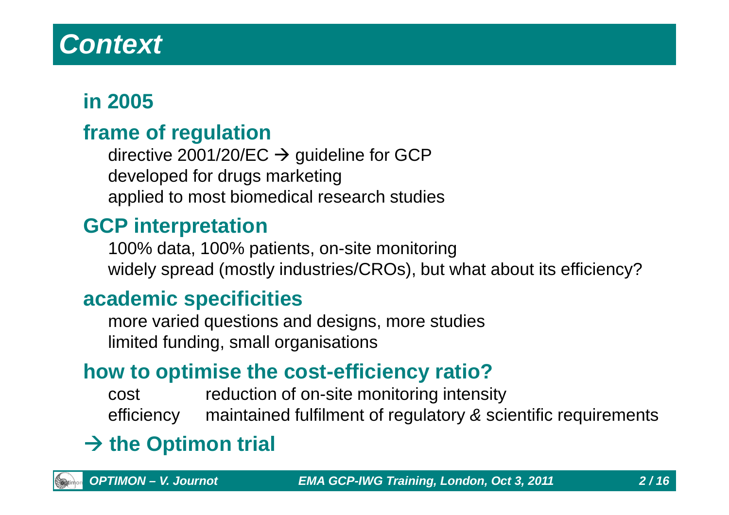## **Context**

### **in 2005**

#### **frame of regulation**

directive 2001/20/EC → guideline for GCP<br>developed for drugs marketing developed for drugs marketingapplied to most biomedical research studies

#### **GCP interpretation**

100% data, 100% patients, on-site monitoringwidely spread (mostly industries/CROs), but what about its efficiency?

#### **academic specificities**

 more varied questions and designs, more studieslimited funding, small organisations

#### **how to optimise the cost-efficiency ratio?**

 cost reduction of on-site monitoring intensity efficiency maintained fulfilment of regulatory & scientific requirements

# $\rightarrow$  **the Optimon trial**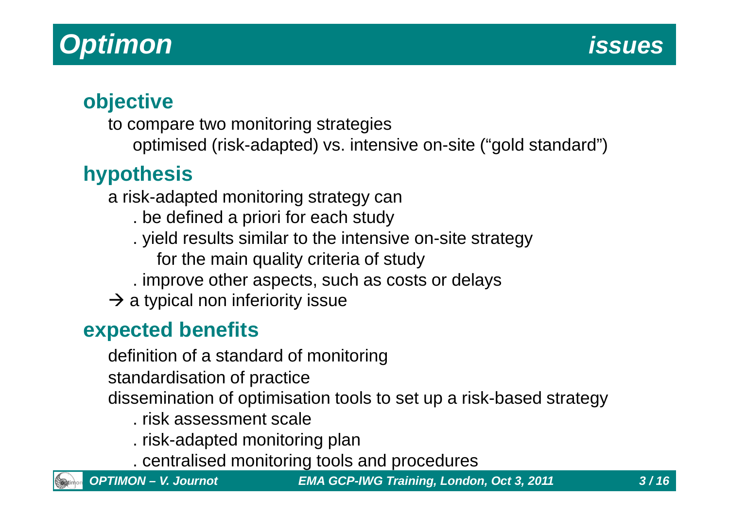## **Optimon**

#### **objective**

 to compare two monitoring strategies optimised (risk-adapted) vs. intensive on-site ("gold standard")

### **hypothesis**

a risk-adapted monitoring strategy can

- . be defined a priori for each study
- . yield results similar to the intensive on-site strategy
	- for the main quality criteria of study
- . improve other aspects, such as costs or delays
- $\rightarrow$  a typical non inferiority issue

#### **expected benefits**

definition of a standard of monitoring

standardisation of practice

dissemination of optimisation tools to set up a risk-based strategy

- . risk assessment scale
- . risk-adapted monitoring plan
- . centralised monitoring tools and procedures

**OPTIMON – V. Journot EMA GCP-IWG Training, London, Oct 3, 2011 3 / 16**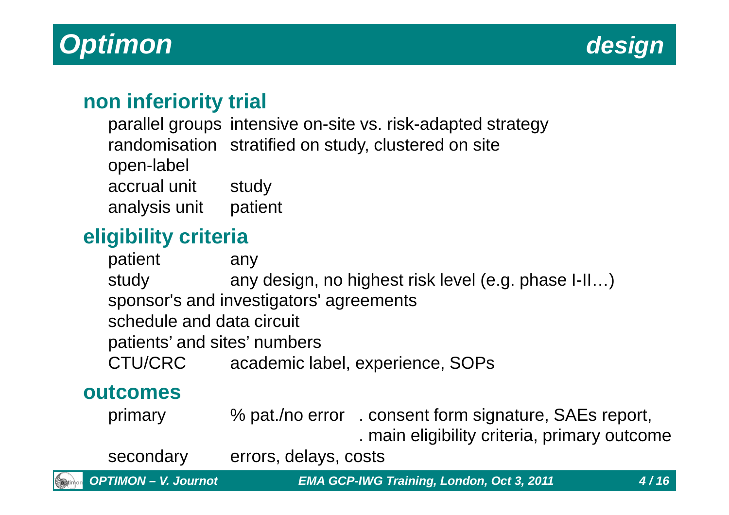

#### **non inferiority trial**

parallel groups intensive on-site vs. risk-adapted strategyrandomisation stratified on study, clustered on siteopen-labelaccrual unit studyanalysis unit patient

#### **eligibility criteria**

any patient study any design, no highest risk level (e.g. phase I-II…)sponsor's and investigators' agreementsschedule and data circuitpatients' and sites' numbersCTU/CRC academic label, experience, SOPs

#### **outcomes**

primary % pat./no error . consent form signature, SAEs report, . main eligibility criteria, primary outcome

secondary errors, delays, costs

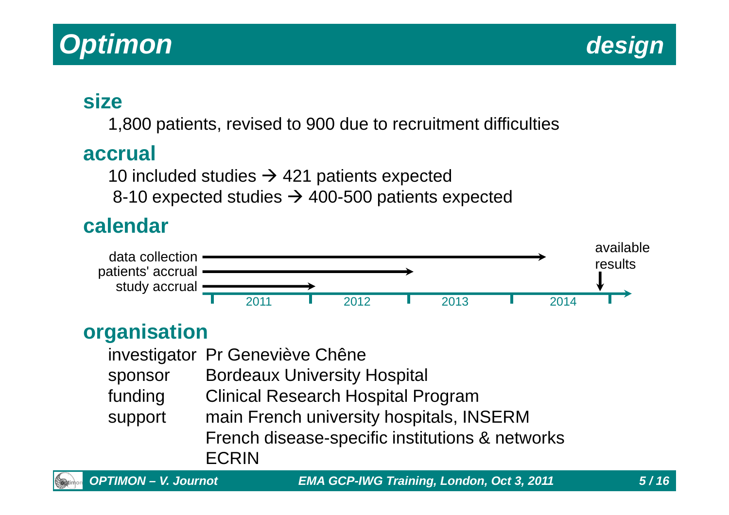## **Optimon**

#### **size**

1,800 patients, revised to 900 due to recruitment difficulties

#### **accrual**

10 included studies  $\rightarrow$  421 patients expected<br>8-10 expected studies  $\rightarrow$  400-500 patients e

8-10 expected studies  $\rightarrow$  400-500 patients expected

#### **calendar**



#### **organisation**

|         | investigator Pr Geneviève Chêne                 |
|---------|-------------------------------------------------|
| sponsor | <b>Bordeaux University Hospital</b>             |
| funding | <b>Clinical Research Hospital Program</b>       |
| support | main French university hospitals, INSERM        |
|         | French disease-specific institutions & networks |
|         | <b>ECRIN</b>                                    |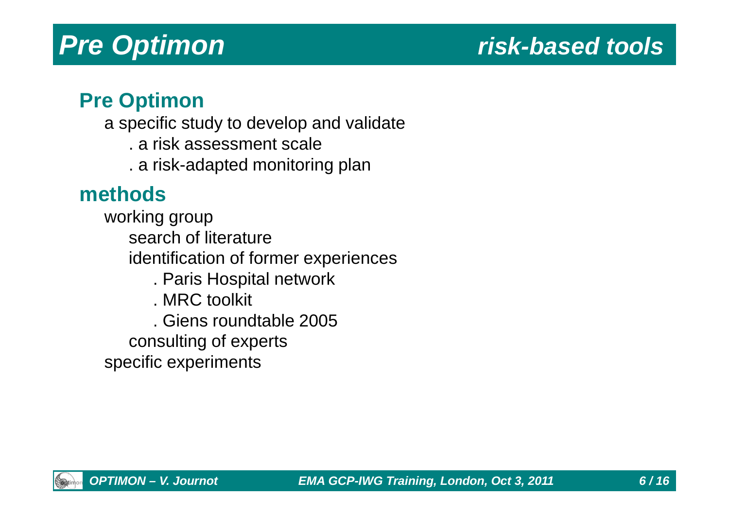### **risk-based tools**

#### **Pre Optimon**

- a specific study to develop and validate
	- . a risk assessment scale
	- . a risk-adapted monitoring plan

#### **methods**

 working group search of literature identification of former experiences. Paris Hospital network. MRC toolkit. Giens roundtable 2005consulting of experts

specific experiments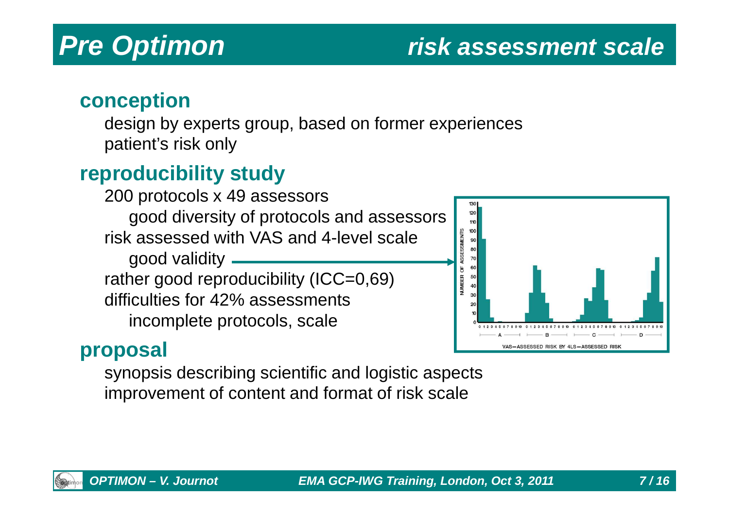### **risk assessment scale**

#### **conception**

 design by experts group, based on former experiencespatient's risk only

#### **reproducibility study**

 200 protocols x 49 assessors good diversity of protocols and assessorsrisk assessed with VAS and 4-level scale good validity rather good reproducibility (ICC=0,69)difficulties for 42% assessmentsincomplete protocols, scale

#### 120 110  $100$ 90 80 70 60  $40$ 30 20 012345678910 01234567891 VAS-ASSESSED RISK BY 4LS-ASSESSED RISH

#### **proposal**

synopsis describing scientific and logistic aspectsimprovement of content and format of risk scale

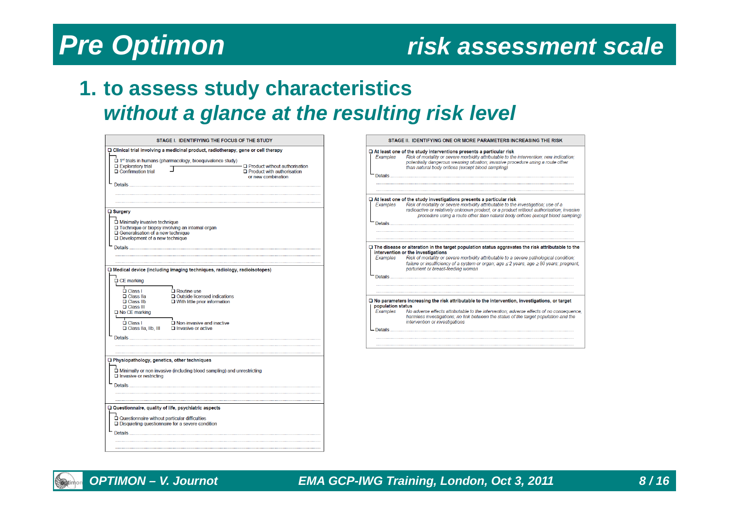#### **risk assessment scale**

#### **1. to assess study characteristicswithout a glance at the resulting risk level**

| STAGE I. IDENTIFIYING THE FOCUS OF THE STUDY                                                                                                                                                                                                                                                                                                                                                                                               |  |  |  |  |  |  |
|--------------------------------------------------------------------------------------------------------------------------------------------------------------------------------------------------------------------------------------------------------------------------------------------------------------------------------------------------------------------------------------------------------------------------------------------|--|--|--|--|--|--|
| $\Box$ Clinical trial involving a medicinal product, radiotherapy, gene or cell therapy                                                                                                                                                                                                                                                                                                                                                    |  |  |  |  |  |  |
| 1st trials in humans (pharmacology, bioequivalence study)<br>$\Box$ Exploratory trial<br>$\Box$ Product without authorisation<br>$\Box$ Confirmation trial<br>$\Box$ Product with authorisation<br>or new combination                                                                                                                                                                                                                      |  |  |  |  |  |  |
| $\square$ Surgery<br>$\Box$ Minimally invasive technique<br>□ Technique or biopsy involving an internal organ<br>$\Box$ Generalisation of a new technique<br>$\Box$ Development of a new technique<br><b>Details</b>                                                                                                                                                                                                                       |  |  |  |  |  |  |
| $\Box$ Medical device (including imaging techniques, radiology, radioisotopes)<br>$\Box$ CE marking<br>$\Box$ Class I<br>$\Box$ Routine use<br>$\Box$ Class IIa<br>□ Outside licensed indications<br>$\Box$ Class IIb<br>$\Box$ With little prior information<br><b>Q</b> Class III<br>$\Box$ No CE marking<br>т<br>$\Box$ Class I<br>$\square$ Non-invasive and inactive<br>□ Class IIa, IIb, III<br>$\Box$ Invasive or active<br>Details |  |  |  |  |  |  |
| □ Physiopathology, genetics, other techniques                                                                                                                                                                                                                                                                                                                                                                                              |  |  |  |  |  |  |
| $\Box$ Minimally or non invasive (including blood sampling) and unrestricting<br>$\Box$ Invasive or restricting<br>Details                                                                                                                                                                                                                                                                                                                 |  |  |  |  |  |  |
| □ Questionnaire, quality of life, psychiatric aspects                                                                                                                                                                                                                                                                                                                                                                                      |  |  |  |  |  |  |
| Questionnaire without particular difficulties<br>□ Disquieting questionnaire for a severe condition<br><b>Details</b>                                                                                                                                                                                                                                                                                                                      |  |  |  |  |  |  |

| STAGE II. IDENTIFYING ONE OR MORE PARAMETERS INCREASING THE RISK |                                                                                                                                                                                                                                                                                                                                                |  |  |  |  |
|------------------------------------------------------------------|------------------------------------------------------------------------------------------------------------------------------------------------------------------------------------------------------------------------------------------------------------------------------------------------------------------------------------------------|--|--|--|--|
| Examples<br>Details                                              | $\Box$ At least one of the study interventions presents a particular risk<br>Risk of mortality or severe morbidity attributable to the intervention: new indication:<br>potentially dangerous weaning situation; invasive procedure using a route other<br>than natural body orifices (except blood sampling)                                  |  |  |  |  |
|                                                                  |                                                                                                                                                                                                                                                                                                                                                |  |  |  |  |
| Examples                                                         | $\Box$ At least one of the study investigations presents a particular risk<br>Risk of mortality or severe morbidity attributable to the investigation; use of a<br>radioactive or relatively unknown product, or a product without authorisation; invasive<br>procedure using a route other than natural body orifices (except blood sampling) |  |  |  |  |
|                                                                  |                                                                                                                                                                                                                                                                                                                                                |  |  |  |  |
|                                                                  | $\Box$ The disease or alteration in the target population status aggravates the risk attributable to the<br>intervention or the investigations                                                                                                                                                                                                 |  |  |  |  |
| Examples                                                         | Risk of mortality or severe morbidity attributable to a severe pathological condition;<br>failure or insufficiency of a system or organ; age ≤2 years, age ≥80 years; pregnant,<br>parturient or breast-feeding woman                                                                                                                          |  |  |  |  |
| Details <b>Details</b>                                           |                                                                                                                                                                                                                                                                                                                                                |  |  |  |  |
|                                                                  |                                                                                                                                                                                                                                                                                                                                                |  |  |  |  |
| population status                                                | $\Box$ No parameters increasing the risk attributable to the intervention, investigations, or target                                                                                                                                                                                                                                           |  |  |  |  |
| Examples                                                         | No adverse effects attributable to the intervention; adverse effects of no consequence,<br>harmless investigations; no link between the status of the target population and the<br>intervention or investigations                                                                                                                              |  |  |  |  |
| Details                                                          |                                                                                                                                                                                                                                                                                                                                                |  |  |  |  |
|                                                                  |                                                                                                                                                                                                                                                                                                                                                |  |  |  |  |

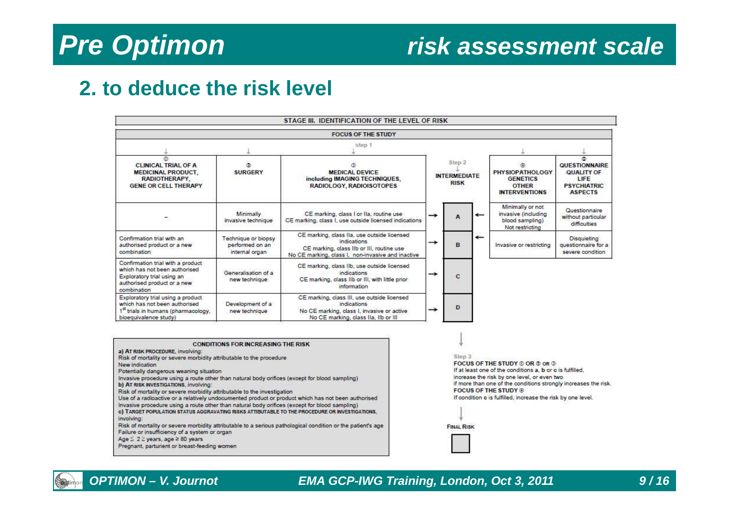#### **risk assessment scale**

#### **2. to deduce the risk level**

|                                                                                                                                                |                                                          | STAGE III. IDENTIFICATION OF THE LEVEL OF RISK                                                                                                               |                                              |   |                          |                                                                                   |                                                                                   |
|------------------------------------------------------------------------------------------------------------------------------------------------|----------------------------------------------------------|--------------------------------------------------------------------------------------------------------------------------------------------------------------|----------------------------------------------|---|--------------------------|-----------------------------------------------------------------------------------|-----------------------------------------------------------------------------------|
|                                                                                                                                                |                                                          | <b>FOCUS OF THE STUDY</b>                                                                                                                                    |                                              |   |                          |                                                                                   |                                                                                   |
|                                                                                                                                                |                                                          | $<$ ten 1                                                                                                                                                    |                                              |   |                          |                                                                                   |                                                                                   |
| $\Omega$<br><b>CLINICAL TRIAL OF A</b><br><b>MEDICINAL PRODUCT.</b><br>RADIOTHERAPY.<br><b>GENE OR CELL THERAPY</b>                            | ä<br><b>SURGERY</b>                                      | <b>MEDICAL DEVICE</b><br>including IMAGING TECHNIQUES,<br>RADIOLOGY, RADIOISOTOPES                                                                           | Step 2<br><b>INTERMEDIATE</b><br><b>RISK</b> |   |                          | <b>PHYSIOPATHOLOGY</b><br><b>GENETICS</b><br><b>OTHER</b><br><b>INTERVENTIONS</b> | G.<br>QUESTIONNAIRE<br>QUALITY OF<br>LIFE<br><b>PSYCHIATRIC</b><br><b>ASPECTS</b> |
|                                                                                                                                                | Minimally<br>invasive technique                          | CE marking, class I or IIa, routine use<br>CE marking, class I, use outside licensed indications                                                             | →                                            | A | $\leftarrow$             | Minimally or not<br>invasive (including<br>blood sampling)<br>Not restricting     | Questionnaire<br>without particular<br>difficulties                               |
| Confirmation trial with an<br>authorised product or a new<br>combination                                                                       | Technique or biopsy<br>performed on an<br>internal organ | CE marking, class IIa, use outside licensed<br>indications<br>CE marking, class IIb or III, routine use<br>No CE marking, class I, non-invasive and inactive | →                                            | B | $\overline{\phantom{m}}$ | Invasive or restricting                                                           | Disquieting<br>questionnaire for a<br>severe condition                            |
| Confirmation trial with a product<br>which has not been authorised<br>Exploratory trial using an<br>authorised product or a new<br>combination | Generalisation of a<br>new technique                     | CE marking, class lib, use outside licensed<br>indications<br>CE marking, class lib or III, with little prior<br>information                                 | →                                            | C |                          |                                                                                   |                                                                                   |
| Exploratory trial using a product<br>which has not been authorised<br>1st trials in humans (pharmacology,<br>bioequivalence study)             | Development of a<br>new technique                        | CE marking, class III, use outside licensed<br>indications<br>No CE marking, class I, invasive or active<br>No CE marking, class IIa, IIb or III             | →                                            | D |                          |                                                                                   |                                                                                   |

#### **CONDITIONS FOR INCREASING THE RISK**

- a) AT RISK PROCEDURE, involving:
- Risk of mortality or severe morbidity attributable to the procedure

New indication

- Potentially dangerous weaning situation
- Invasive procedure using a route other than natural body onfices (except for blood sampling) b) AT RISK INVESTIGATIONS, involving:
- 
- Risk of mortality or severe morbidity attributable to the investigation
- Use of a radioactive or a relatively undocumented product or product which has not been authorised Invasive procedure using a route other than natural body orifices (except for blood sampling) c) TARGET POPULATION STATUS AGGRAVATING RISKS ATTIBUTABLE TO THE PROCEDURE OR INVESTIGATIONS, involving:
- Risk of mortality or severe morbidity attributable to a serious pathological condition or the patient's age Failure or insufficiency of a system or organ
- Age  $\leq 2 \geq$  years, age  $\geq 80$  years
- Pregnant, parturient or breast-feeding women

#### Step 3

FOCUS OF THE STUDY © OR © OR 1 If at least one of the conditions a, b or c is fulfilled, increase the risk by one level, or even two if more than one of the conditions strongly increases the risk. **FOCUS OF THE STUDY ®** If condition c is fulfilled, increase the risk by one level.

| <b>FINAL RISK</b> |  |  |
|-------------------|--|--|



#### **OPTIMON – V. Journot EMA GCP-IWG Training, London, Oct 3, 2011 9 / 16**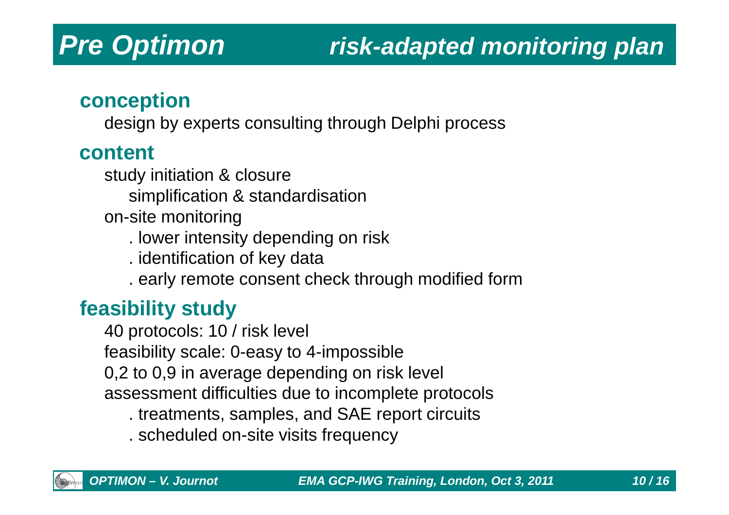## **risk-adapted monitoring plan**

#### **conception**

design by experts consulting through Delphi process

#### **content**

- study initiation & closuresimplification & standardisation
- on-site monitoring
	- . lower intensity depending on risk
	- . identification of key data
	- . early remote consent check through modified form

#### **feasibility study**

 40 protocols: 10 / risk levelfeasibility scale: 0-easy to 4-impossible 0,2 to 0,9 in average depending on risk levelassessment difficulties due to incomplete protocols

- . treatments, samples, and SAE report circuits
- . scheduled on-site visits frequency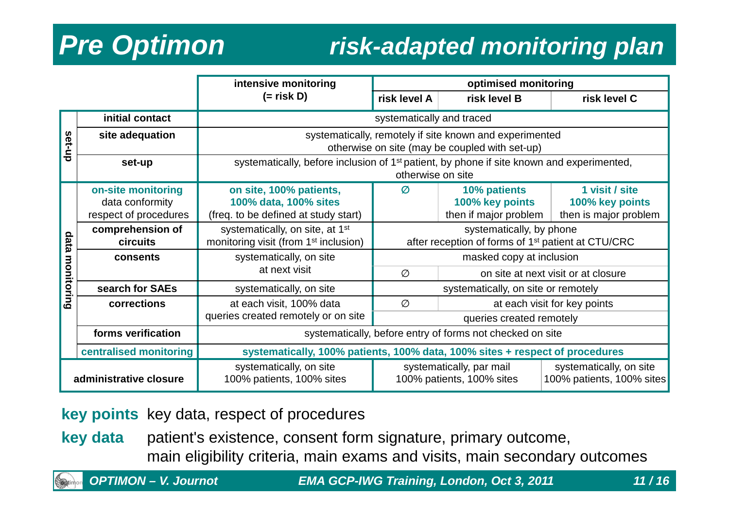## **risk-adapted monitoring plan**

|                        |                        | intensive monitoring                                                                                  | optimised monitoring                                           |                                     |                         |  |  |  |
|------------------------|------------------------|-------------------------------------------------------------------------------------------------------|----------------------------------------------------------------|-------------------------------------|-------------------------|--|--|--|
|                        |                        | $(=$ risk D)                                                                                          | risk level A                                                   | risk level B                        | risk level C            |  |  |  |
|                        | initial contact        | systematically and traced                                                                             |                                                                |                                     |                         |  |  |  |
| set-up                 | site adequation        | systematically, remotely if site known and experimented                                               |                                                                |                                     |                         |  |  |  |
|                        |                        |                                                                                                       | otherwise on site (may be coupled with set-up)                 |                                     |                         |  |  |  |
|                        | set-up                 | systematically, before inclusion of 1 <sup>st</sup> patient, by phone if site known and experimented, |                                                                |                                     |                         |  |  |  |
|                        |                        | otherwise on site                                                                                     |                                                                |                                     |                         |  |  |  |
|                        | on-site monitoring     | on site, 100% patients,                                                                               | Ø                                                              | 10% patients                        | 1 visit / site          |  |  |  |
| data                   | data conformity        | 100% data, 100% sites                                                                                 | 100% key points                                                |                                     | 100% key points         |  |  |  |
|                        | respect of procedures  | (freq. to be defined at study start)                                                                  | then if major problem                                          |                                     | then is major problem   |  |  |  |
|                        | comprehension of       | systematically, on site, at 1 <sup>st</sup>                                                           | systematically, by phone                                       |                                     |                         |  |  |  |
|                        | circuits               | monitoring visit (from 1 <sup>st</sup> inclusion)                                                     | after reception of forms of 1 <sup>st</sup> patient at CTU/CRC |                                     |                         |  |  |  |
| З                      | consents               | systematically, on site                                                                               |                                                                | masked copy at inclusion            |                         |  |  |  |
| onitoring              |                        | at next visit                                                                                         | Ø                                                              | on site at next visit or at closure |                         |  |  |  |
|                        | search for SAEs        | systematically, on site                                                                               | systematically, on site or remotely                            |                                     |                         |  |  |  |
|                        | corrections            | at each visit, 100% data                                                                              | Ø                                                              | at each visit for key points        |                         |  |  |  |
|                        |                        | queries created remotely or on site                                                                   | queries created remotely                                       |                                     |                         |  |  |  |
|                        | forms verification     | systematically, before entry of forms not checked on site                                             |                                                                |                                     |                         |  |  |  |
|                        | centralised monitoring | systematically, 100% patients, 100% data, 100% sites + respect of procedures                          |                                                                |                                     |                         |  |  |  |
|                        |                        | systematically, on site                                                                               |                                                                | systematically, par mail            | systematically, on site |  |  |  |
| administrative closure |                        | 100% patients, 100% sites                                                                             | 100% patients, 100% sites                                      | 100% patients, 100% sites           |                         |  |  |  |

**key points** key data, respect of procedures

**key data** patient's existence, consent form signature, primary outcome, main eligibility criteria, main exams and visits, main secondary outcomes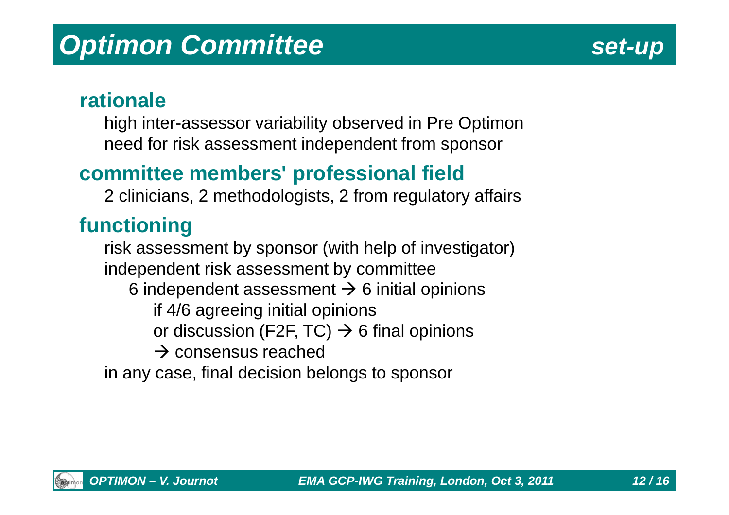

#### **rationale**

high inter-assessor variability observed in Pre Optimonneed for risk assessment independent from sponsor

#### **committee members' professional field**

2 clinicians, 2 methodologists, 2 from regulatory affairs

#### **functioning**

 risk assessment by sponsor (with help of investigator)independent risk assessment by committee6 independent assessment  $\rightarrow$  6 initial opinions<br>if 4/6 agreeing initial opinions if 4/6 agreeing initial opinionsor discussion (F2F, TC) → 6 final opinions<br>→ consensus reached  $\rightarrow$  consensus reached<br>
case final decision be in any case, final decision belongs to sponsor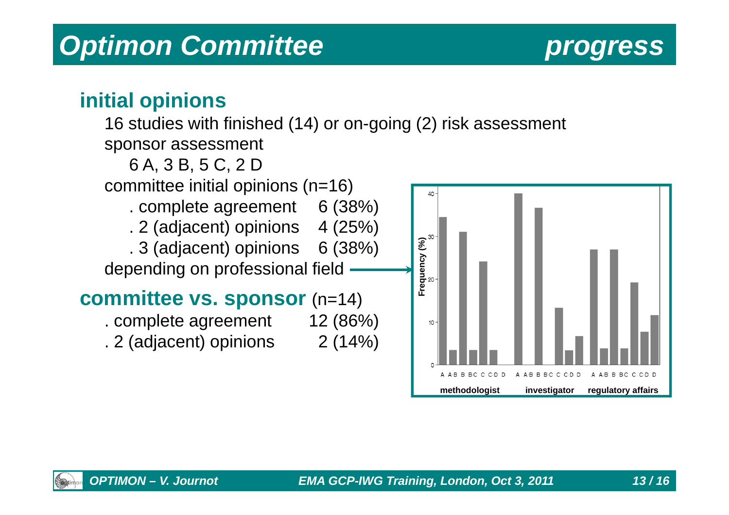## **Optimon Committee** *progress*

#### **initial opinions**

#### 16 studies with finished (14) or on-going (2) risk assessment

sponsor assessment



A A B B B C C C D D

**methodologist investigator regulatory affairs**

A:B B B:C C C:D D

BIC C CID D

A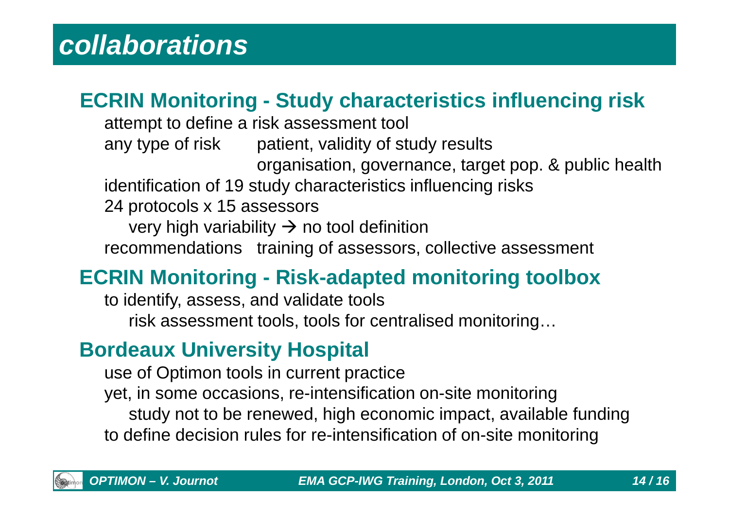### **ECRIN Monitoring - Study characteristics influencing risk**

attempt to define a risk assessment toolany type of risk patient, validity of study results organisation, governance, target pop. & public healthidentification of 19 study characteristics influencing risks24 protocols x 15 assessorsvery high variability  $\rightarrow$  no tool definition<br>ommendations training of assessors recommendations training of assessors, collective assessment

### **ECRIN Monitoring - Risk-adapted monitoring toolbox**

to identify, assess, and validate toolsrisk assessment tools, tools for centralised monitoring…

#### **Bordeaux University Hospital**

use of Optimon tools in current practice yet, in some occasions, re-intensification on-site monitoring study not to be renewed, high economic impact, available fundingto define decision rules for re-intensification of on-site monitoring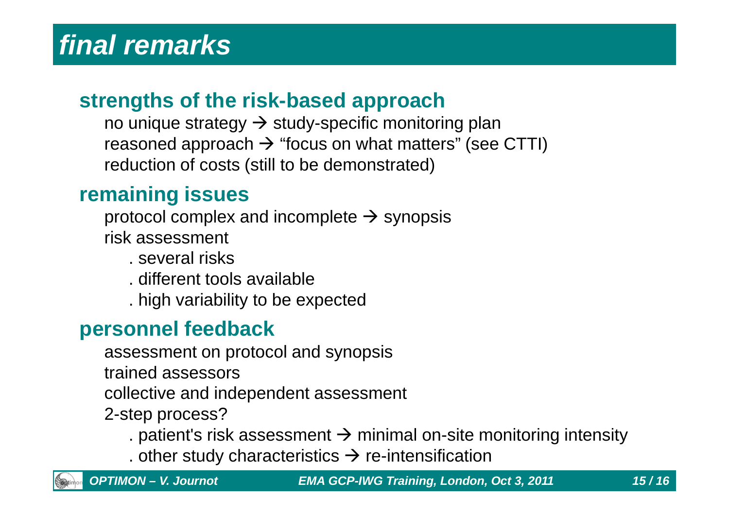#### **strengths of the risk-based approach**

no unique strategy → study-specific monitoring plan<br>reasoned annroach → "focus on what matters" (see reasoned approach -> "focus on what matters" (see CTTI)<br>reduction of costs (still to be demonstrated) reduction of costs (still to be demonstrated)

#### **remaining issues**

protocol complex and incomplete  $\rightarrow$  synopsis<br>risk assessment risk assessment

- . several risks
- . different tools available
- . high variability to be expected

#### **personnel feedback**

assessment on protocol and synopsis

trained assessors

collective and independent assessment

- 2-step process?
	- . patient's risk assessment  $\rightarrow$  minimal on-site monitoring intensity<br>other study characteristics  $\rightarrow$  re-intensification
	- . other study characteristics  $\rightarrow$  re-intensification